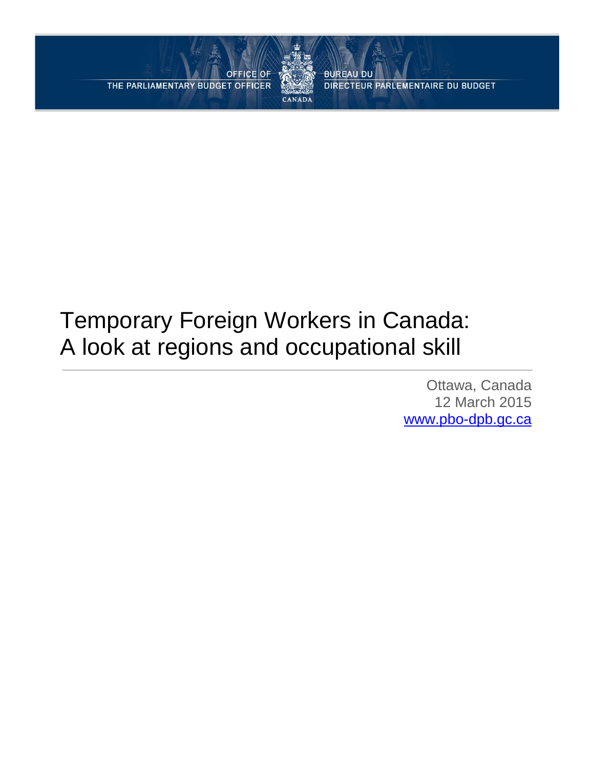**OFFICE OF** THE PARLIAMENTARY BUDGET OFFICER



**BUREAU DU** DIRECTEUR PARLEMENTAIRE DU BUDGET

# Temporary Foreign Workers in Canada: A look at regions and occupational skill

Ottawa, Canada 12 March 2015 [www.pbo-dpb.gc.ca](http://www.pbo-dpb.gc.ca/)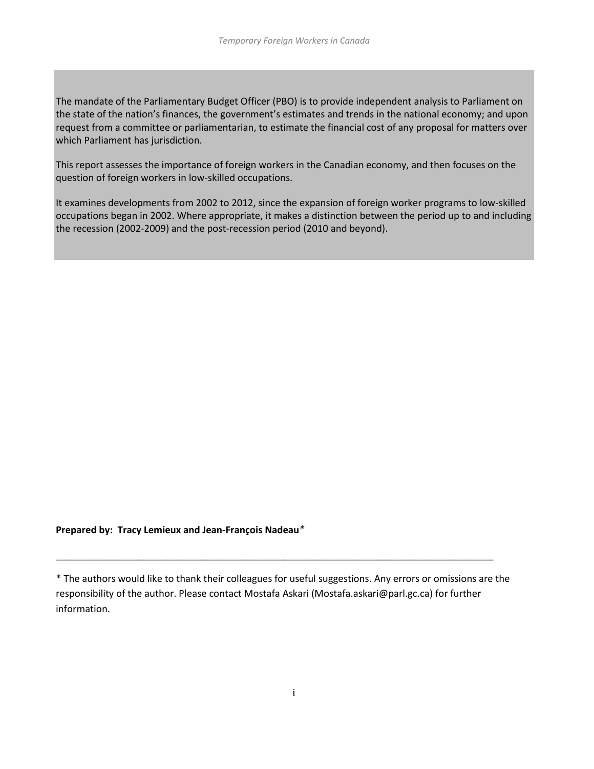The mandate of the Parliamentary Budget Officer (PBO) is to provide independent analysis to Parliament on the state of the nation's finances, the government's estimates and trends in the national economy; and upon request from a committee or parliamentarian, to estimate the financial cost of any proposal for matters over which Parliament has jurisdiction.

This report assesses the importance of foreign workers in the Canadian economy, and then focuses on the question of foreign workers in low-skilled occupations.

It examines developments from 2002 to 2012, since the expansion of foreign worker programs to low-skilled occupations began in 2002. Where appropriate, it makes a distinction between the period up to and including the recession (2002-2009) and the post-recession period (2010 and beyond).

#### **Prepared by: Tracy Lemieux and Jean-François Nadeau***\**

\* The authors would like to thank their colleagues for useful suggestions. Any errors or omissions are the responsibility of the author. Please contact Mostafa Askari (Mostafa.askari@parl.gc.ca) for further information.

\_\_\_\_\_\_\_\_\_\_\_\_\_\_\_\_\_\_\_\_\_\_\_\_\_\_\_\_\_\_\_\_\_\_\_\_\_\_\_\_\_\_\_\_\_\_\_\_\_\_\_\_\_\_\_\_\_\_\_\_\_\_\_\_\_\_\_\_\_\_\_\_\_\_\_\_\_\_\_\_\_\_\_\_\_\_\_\_\_\_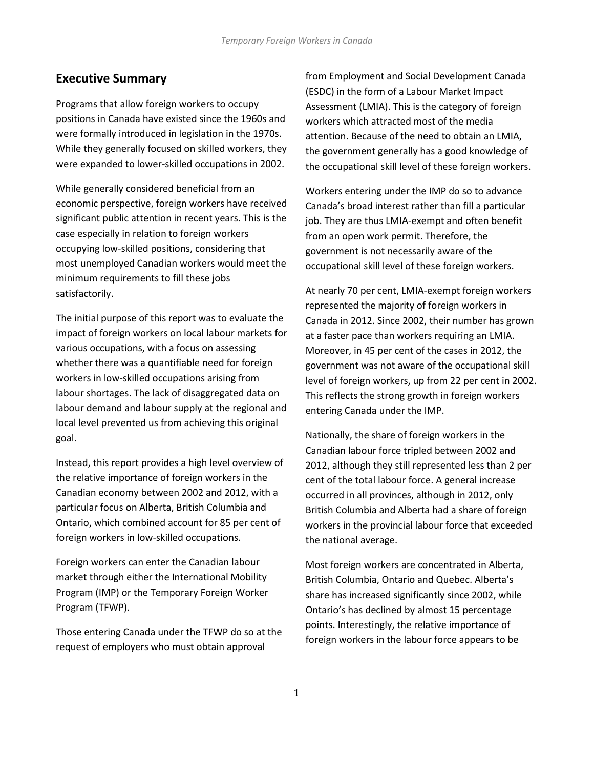## **Executive Summary**

Programs that allow foreign workers to occupy positions in Canada have existed since the 1960s and were formally introduced in legislation in the 1970s. While they generally focused on skilled workers, they were expanded to lower-skilled occupations in 2002.

While generally considered beneficial from an economic perspective, foreign workers have received significant public attention in recent years. This is the case especially in relation to foreign workers occupying low-skilled positions, considering that most unemployed Canadian workers would meet the minimum requirements to fill these jobs satisfactorily.

The initial purpose of this report was to evaluate the impact of foreign workers on local labour markets for various occupations, with a focus on assessing whether there was a quantifiable need for foreign workers in low-skilled occupations arising from labour shortages. The lack of disaggregated data on labour demand and labour supply at the regional and local level prevented us from achieving this original goal.

Instead, this report provides a high level overview of the relative importance of foreign workers in the Canadian economy between 2002 and 2012, with a particular focus on Alberta, British Columbia and Ontario, which combined account for 85 per cent of foreign workers in low-skilled occupations.

Foreign workers can enter the Canadian labour market through either the International Mobility Program (IMP) or the Temporary Foreign Worker Program (TFWP).

Those entering Canada under the TFWP do so at the request of employers who must obtain approval

from Employment and Social Development Canada (ESDC) in the form of a Labour Market Impact Assessment (LMIA). This is the category of foreign workers which attracted most of the media attention. Because of the need to obtain an LMIA, the government generally has a good knowledge of the occupational skill level of these foreign workers.

Workers entering under the IMP do so to advance Canada's broad interest rather than fill a particular job. They are thus LMIA-exempt and often benefit from an open work permit. Therefore, the government is not necessarily aware of the occupational skill level of these foreign workers.

At nearly 70 per cent, LMIA-exempt foreign workers represented the majority of foreign workers in Canada in 2012. Since 2002, their number has grown at a faster pace than workers requiring an LMIA. Moreover, in 45 per cent of the cases in 2012, the government was not aware of the occupational skill level of foreign workers, up from 22 per cent in 2002. This reflects the strong growth in foreign workers entering Canada under the IMP.

Nationally, the share of foreign workers in the Canadian labour force tripled between 2002 and 2012, although they still represented less than 2 per cent of the total labour force. A general increase occurred in all provinces, although in 2012, only British Columbia and Alberta had a share of foreign workers in the provincial labour force that exceeded the national average.

Most foreign workers are concentrated in Alberta, British Columbia, Ontario and Quebec. Alberta's share has increased significantly since 2002, while Ontario's has declined by almost 15 percentage points. Interestingly, the relative importance of foreign workers in the labour force appears to be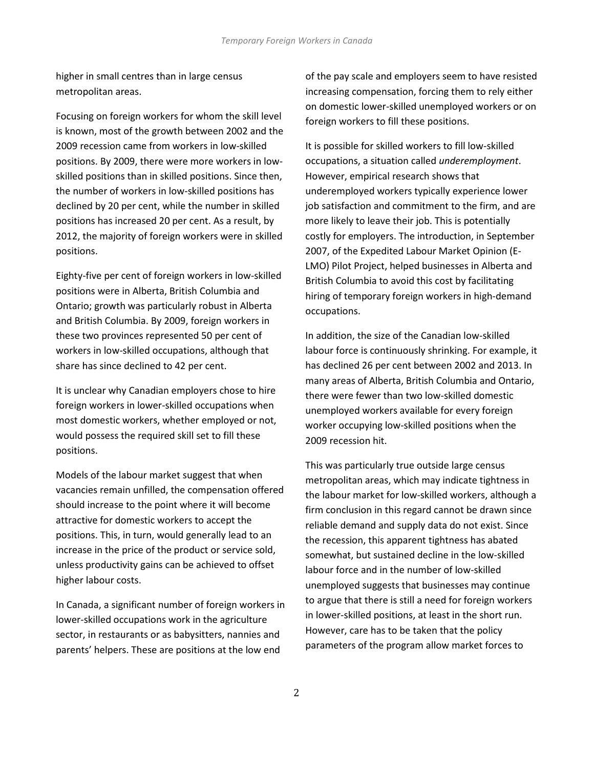higher in small centres than in large census metropolitan areas.

Focusing on foreign workers for whom the skill level is known, most of the growth between 2002 and the 2009 recession came from workers in low-skilled positions. By 2009, there were more workers in lowskilled positions than in skilled positions. Since then, the number of workers in low-skilled positions has declined by 20 per cent, while the number in skilled positions has increased 20 per cent. As a result, by 2012, the majority of foreign workers were in skilled positions.

Eighty-five per cent of foreign workers in low-skilled positions were in Alberta, British Columbia and Ontario; growth was particularly robust in Alberta and British Columbia. By 2009, foreign workers in these two provinces represented 50 per cent of workers in low-skilled occupations, although that share has since declined to 42 per cent.

It is unclear why Canadian employers chose to hire foreign workers in lower-skilled occupations when most domestic workers, whether employed or not, would possess the required skill set to fill these positions.

Models of the labour market suggest that when vacancies remain unfilled, the compensation offered should increase to the point where it will become attractive for domestic workers to accept the positions. This, in turn, would generally lead to an increase in the price of the product or service sold, unless productivity gains can be achieved to offset higher labour costs.

In Canada, a significant number of foreign workers in lower-skilled occupations work in the agriculture sector, in restaurants or as babysitters, nannies and parents' helpers. These are positions at the low end

of the pay scale and employers seem to have resisted increasing compensation, forcing them to rely either on domestic lower-skilled unemployed workers or on foreign workers to fill these positions.

It is possible for skilled workers to fill low-skilled occupations, a situation called *underemployment*. However, empirical research shows that underemployed workers typically experience lower job satisfaction and commitment to the firm, and are more likely to leave their job. This is potentially costly for employers. The introduction, in September 2007, of the Expedited Labour Market Opinion (E-LMO) Pilot Project, helped businesses in Alberta and British Columbia to avoid this cost by facilitating hiring of temporary foreign workers in high-demand occupations.

In addition, the size of the Canadian low-skilled labour force is continuously shrinking. For example, it has declined 26 per cent between 2002 and 2013. In many areas of Alberta, British Columbia and Ontario, there were fewer than two low-skilled domestic unemployed workers available for every foreign worker occupying low-skilled positions when the 2009 recession hit.

This was particularly true outside large census metropolitan areas, which may indicate tightness in the labour market for low-skilled workers, although a firm conclusion in this regard cannot be drawn since reliable demand and supply data do not exist. Since the recession, this apparent tightness has abated somewhat, but sustained decline in the low-skilled labour force and in the number of low-skilled unemployed suggests that businesses may continue to argue that there is still a need for foreign workers in lower-skilled positions, at least in the short run. However, care has to be taken that the policy parameters of the program allow market forces to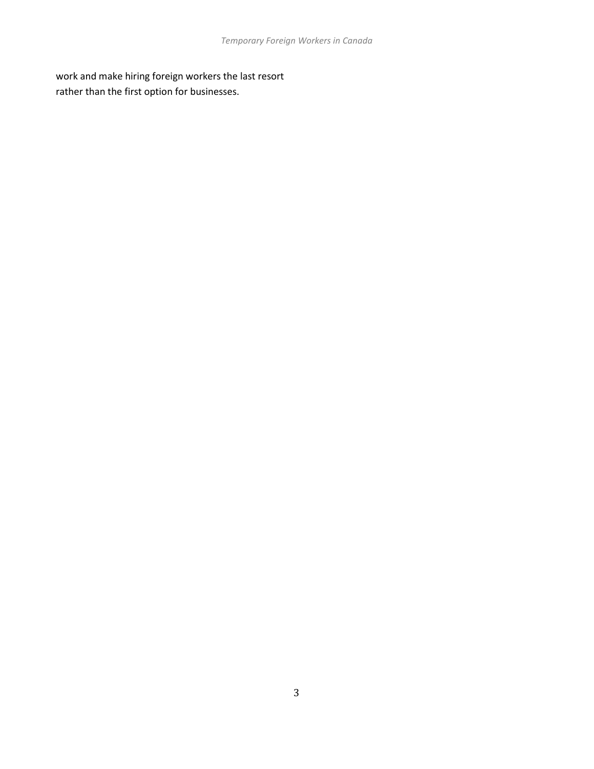work and make hiring foreign workers the last resort rather than the first option for businesses.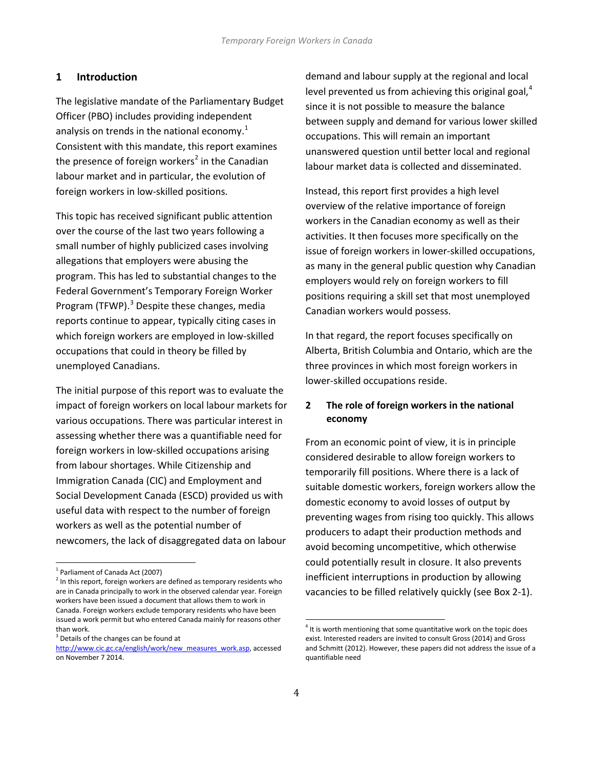#### **1 Introduction**

The legislative mandate of the Parliamentary Budget Officer (PBO) includes providing independent analysis on trends in the national economy. $1$ Consistent with this mandate, this report examines the presence of foreign workers<sup>[2](#page-5-1)</sup> in the Canadian labour market and in particular, the evolution of foreign workers in low-skilled positions.

This topic has received significant public attention over the course of the last two years following a small number of highly publicized cases involving allegations that employers were abusing the program. This has led to substantial changes to the Federal Government's Temporary Foreign Worker Program (TFWP).<sup>[3](#page-5-2)</sup> Despite these changes, media reports continue to appear, typically citing cases in which foreign workers are employed in low-skilled occupations that could in theory be filled by unemployed Canadians.

The initial purpose of this report was to evaluate the impact of foreign workers on local labour markets for various occupations. There was particular interest in assessing whether there was a quantifiable need for foreign workers in low-skilled occupations arising from labour shortages. While Citizenship and Immigration Canada (CIC) and Employment and Social Development Canada (ESCD) provided us with useful data with respect to the number of foreign workers as well as the potential number of newcomers, the lack of disaggregated data on labour

<span id="page-5-3"></span><span id="page-5-2"></span><sup>3</sup> Details of the changes can be found at

demand and labour supply at the regional and local level prevented us from achieving this original goal,<sup>[4](#page-5-3)</sup> since it is not possible to measure the balance between supply and demand for various lower skilled occupations. This will remain an important unanswered question until better local and regional labour market data is collected and disseminated.

Instead, this report first provides a high level overview of the relative importance of foreign workers in the Canadian economy as well as their activities. It then focuses more specifically on the issue of foreign workers in lower-skilled occupations, as many in the general public question why Canadian employers would rely on foreign workers to fill positions requiring a skill set that most unemployed Canadian workers would possess.

In that regard, the report focuses specifically on Alberta, British Columbia and Ontario, which are the three provinces in which most foreign workers in lower-skilled occupations reside.

#### **2 The role of foreign workers in the national economy**

From an economic point of view, it is in principle considered desirable to allow foreign workers to temporarily fill positions. Where there is a lack of suitable domestic workers, foreign workers allow the domestic economy to avoid losses of output by preventing wages from rising too quickly. This allows producers to adapt their production methods and avoid becoming uncompetitive, which otherwise could potentially result in closure. It also prevents inefficient interruptions in production by allowing vacancies to be filled relatively quickly (see Box 2-1).

<span id="page-5-0"></span><sup>&</sup>lt;sup>1</sup> Parliament of Canada Act (2007)

<span id="page-5-1"></span> $2$  In this report, foreign workers are defined as temporary residents who are in Canada principally to work in the observed calendar year. Foreign workers have been issued a document that allows them to work in Canada. Foreign workers exclude temporary residents who have been issued a work permit but who entered Canada mainly for reasons other than work.

[http://www.cic.gc.ca/english/work/new\\_measures\\_work.asp,](http://www.cic.gc.ca/english/work/new_measures_work.asp) accessed on November 7 2014.

 $4$  It is worth mentioning that some quantitative work on the topic does exist. Interested readers are invited to consult Gross (2014) and Gross and Schmitt (2012). However, these papers did not address the issue of a quantifiable need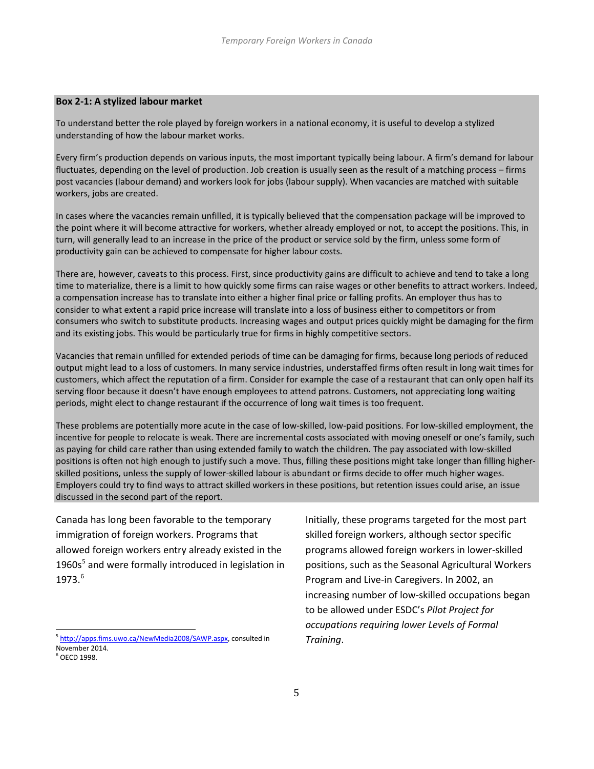#### **Box 2-1: A stylized labour market**

To understand better the role played by foreign workers in a national economy, it is useful to develop a stylized understanding of how the labour market works.

Every firm's production depends on various inputs, the most important typically being labour. A firm's demand for labour fluctuates, depending on the level of production. Job creation is usually seen as the result of a matching process – firms post vacancies (labour demand) and workers look for jobs (labour supply). When vacancies are matched with suitable workers, jobs are created.

In cases where the vacancies remain unfilled, it is typically believed that the compensation package will be improved to the point where it will become attractive for workers, whether already employed or not, to accept the positions. This, in turn, will generally lead to an increase in the price of the product or service sold by the firm, unless some form of productivity gain can be achieved to compensate for higher labour costs.

There are, however, caveats to this process. First, since productivity gains are difficult to achieve and tend to take a long time to materialize, there is a limit to how quickly some firms can raise wages or other benefits to attract workers. Indeed, a compensation increase has to translate into either a higher final price or falling profits. An employer thus has to consider to what extent a rapid price increase will translate into a loss of business either to competitors or from consumers who switch to substitute products. Increasing wages and output prices quickly might be damaging for the firm and its existing jobs. This would be particularly true for firms in highly competitive sectors.

Vacancies that remain unfilled for extended periods of time can be damaging for firms, because long periods of reduced output might lead to a loss of customers. In many service industries, understaffed firms often result in long wait times for customers, which affect the reputation of a firm. Consider for example the case of a restaurant that can only open half its serving floor because it doesn't have enough employees to attend patrons. Customers, not appreciating long waiting periods, might elect to change restaurant if the occurrence of long wait times is too frequent.

These problems are potentially more acute in the case of low-skilled, low-paid positions. For low-skilled employment, the incentive for people to relocate is weak. There are incremental costs associated with moving oneself or one's family, such as paying for child care rather than using extended family to watch the children. The pay associated with low-skilled positions is often not high enough to justify such a move. Thus, filling these positions might take longer than filling higherskilled positions, unless the supply of lower-skilled labour is abundant or firms decide to offer much higher wages. Employers could try to find ways to attract skilled workers in these positions, but retention issues could arise, an issue discussed in the second part of the report.

Canada has long been favorable to the temporary immigration of foreign workers. Programs that allowed foreign workers entry already existed in the  $1960s<sup>5</sup>$  $1960s<sup>5</sup>$  $1960s<sup>5</sup>$  and were formally introduced in legislation in 1973.[6](#page-6-0)

Initially, these programs targeted for the most part skilled foreign workers, although sector specific programs allowed foreign workers in lower-skilled positions, such as the Seasonal Agricultural Workers Program and Live-in Caregivers. In 2002, an increasing number of low-skilled occupations began to be allowed under ESDC's *Pilot Project for occupations requiring lower Levels of Formal Training*.

<span id="page-6-1"></span><sup>&</sup>lt;sup>5</sup> [http://apps.fims.uwo.ca/NewMedia2008/SAWP.aspx,](http://apps.fims.uwo.ca/NewMedia2008/SAWP.aspx) consulted in November 2014.

<span id="page-6-0"></span> $6$  OECD 1998.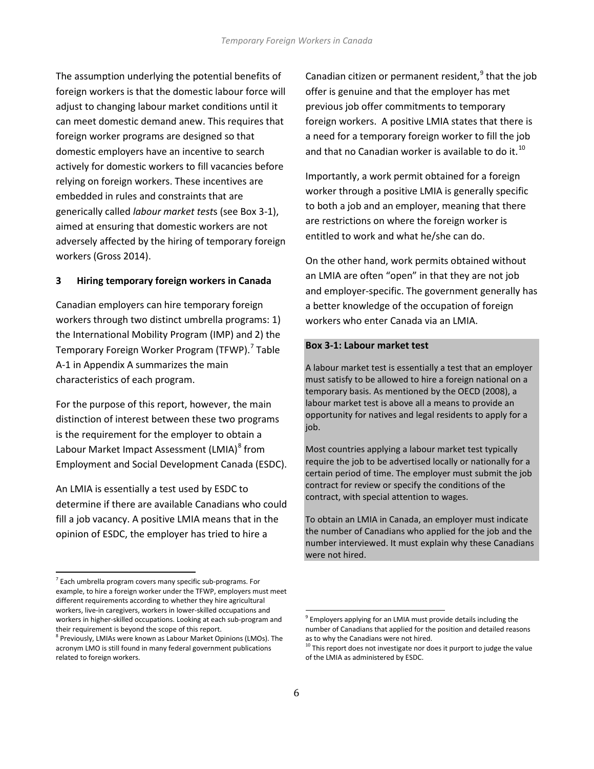The assumption underlying the potential benefits of foreign workers is that the domestic labour force will adjust to changing labour market conditions until it can meet domestic demand anew. This requires that foreign worker programs are designed so that domestic employers have an incentive to search actively for domestic workers to fill vacancies before relying on foreign workers. These incentives are embedded in rules and constraints that are generically called *labour market test*s (see Box 3-1), aimed at ensuring that domestic workers are not adversely affected by the hiring of temporary foreign workers (Gross 2014).

#### **3 Hiring temporary foreign workers in Canada**

Canadian employers can hire temporary foreign workers through two distinct umbrella programs: 1) the International Mobility Program (IMP) and 2) the Temporary Foreign Worker Program (TFWP).<sup>[7](#page-6-1)</sup> Table A-1 in Appendix A summarizes the main characteristics of each program.

For the purpose of this report, however, the main distinction of interest between these two programs is the requirement for the employer to obtain a Labour Market Impact Assessment (LMIA)<sup>[8](#page-7-0)</sup> from Employment and Social Development Canada (ESDC).

An LMIA is essentially a test used by ESDC to determine if there are available Canadians who could fill a job vacancy. A positive LMIA means that in the opinion of ESDC, the employer has tried to hire a

Canadian citizen or permanent resident, $9$  that the job offer is genuine and that the employer has met previous job offer commitments to temporary foreign workers. A positive LMIA states that there is a need for a temporary foreign worker to fill the job and that no Canadian worker is available to do it.<sup>[10](#page-7-2)</sup>

Importantly, a work permit obtained for a foreign worker through a positive LMIA is generally specific to both a job and an employer, meaning that there are restrictions on where the foreign worker is entitled to work and what he/she can do.

On the other hand, work permits obtained without an LMIA are often "open" in that they are not job and employer-specific. The government generally has a better knowledge of the occupation of foreign workers who enter Canada via an LMIA.

#### **Box 3-1: Labour market test**

A labour market test is essentially a test that an employer must satisfy to be allowed to hire a foreign national on a temporary basis. As mentioned by the OECD (2008), a labour market test is above all a means to provide an opportunity for natives and legal residents to apply for a job.

Most countries applying a labour market test typically require the job to be advertised locally or nationally for a certain period of time. The employer must submit the job contract for review or specify the conditions of the contract, with special attention to wages.

To obtain an LMIA in Canada, an employer must indicate the number of Canadians who applied for the job and the number interviewed. It must explain why these Canadians were not hired.

<span id="page-7-3"></span> $7$  Each umbrella program covers many specific sub-programs. For example, to hire a foreign worker under the TFWP, employers must meet different requirements according to whether they hire agricultural workers, live-in caregivers, workers in lower-skilled occupations and workers in higher-skilled occupations. Looking at each sub-program and their requirement is beyond the scope of this report.<br><sup>8</sup> Previously, LMIAs were known as Labour Market Opinions (LMOs). The

<span id="page-7-2"></span><span id="page-7-1"></span><span id="page-7-0"></span>acronym LMO is still found in many federal government publications related to foreign workers.

<sup>&</sup>lt;sup>9</sup> Employers applying for an LMIA must provide details including the number of Canadians that applied for the position and detailed reasons as to why the Canadians were not hired.

 $10$  This report does not investigate nor does it purport to judge the value of the LMIA as administered by ESDC.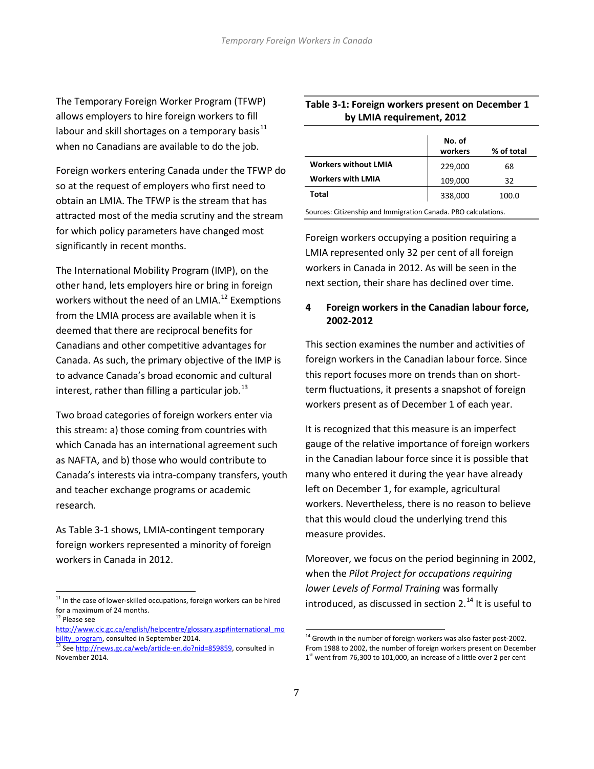The Temporary Foreign Worker Program (TFWP) allows employers to hire foreign workers to fill labour and skill shortages on a temporary basis $11$ when no Canadians are available to do the job.

Foreign workers entering Canada under the TFWP do so at the request of employers who first need to obtain an LMIA. The TFWP is the stream that has attracted most of the media scrutiny and the stream for which policy parameters have changed most significantly in recent months.

The International Mobility Program (IMP), on the other hand, lets employers hire or bring in foreign workers without the need of an LMIA.<sup>[12](#page-8-0)</sup> Exemptions from the LMIA process are available when it is deemed that there are reciprocal benefits for Canadians and other competitive advantages for Canada. As such, the primary objective of the IMP is to advance Canada's broad economic and cultural interest, rather than filling a particular job. $^{13}$  $^{13}$  $^{13}$ 

Two broad categories of foreign workers enter via this stream: a) those coming from countries with which Canada has an international agreement such as NAFTA, and b) those who would contribute to Canada's interests via intra-company transfers, youth and teacher exchange programs or academic research.

As Table 3-1 shows, LMIA-contingent temporary foreign workers represented a minority of foreign workers in Canada in 2012.

#### **Table 3-1: Foreign workers present on December 1 by LMIA requirement, 2012**

|                             | No. of<br>workers | % of total |
|-----------------------------|-------------------|------------|
| <b>Workers without LMIA</b> | 229,000           | 68         |
| <b>Workers with LMIA</b>    | 109,000           | 32         |
| Total                       | 338,000           | 100.0      |

Sources: Citizenship and Immigration Canada. PBO calculations.

Foreign workers occupying a position requiring a LMIA represented only 32 per cent of all foreign workers in Canada in 2012. As will be seen in the next section, their share has declined over time.

#### **4 Foreign workers in the Canadian labour force, 2002-2012**

This section examines the number and activities of foreign workers in the Canadian labour force. Since this report focuses more on trends than on shortterm fluctuations, it presents a snapshot of foreign workers present as of December 1 of each year.

It is recognized that this measure is an imperfect gauge of the relative importance of foreign workers in the Canadian labour force since it is possible that many who entered it during the year have already left on December 1, for example, agricultural workers. Nevertheless, there is no reason to believe that this would cloud the underlying trend this measure provides.

Moreover, we focus on the period beginning in 2002, when the *Pilot Project for occupations requiring lower Levels of Formal Training* was formally introduced, as discussed in section  $2.^{14}$  $2.^{14}$  $2.^{14}$  It is useful to

 $11$  In the case of lower-skilled occupations, foreign workers can be hired for a maximum of 24 months.

<span id="page-8-0"></span><sup>&</sup>lt;sup>12</sup> Please see

[http://www.cic.gc.ca/english/helpcentre/glossary.asp#international\\_mo](http://www.cic.gc.ca/english/helpcentre/glossary.asp#international_mobility_program)\_<br>bility\_program, consulted in September 2014.

<span id="page-8-2"></span><span id="page-8-1"></span><sup>13</sup> Se[e http://news.gc.ca/web/article-en.do?nid=859859,](http://news.gc.ca/web/article-en.do?nid=859859) consulted in November 2014.

 $14$  Growth in the number of foreign workers was also faster post-2002. From 1988 to 2002, the number of foreign workers present on December 1<sup>st</sup> went from 76,300 to 101,000, an increase of a little over 2 per cent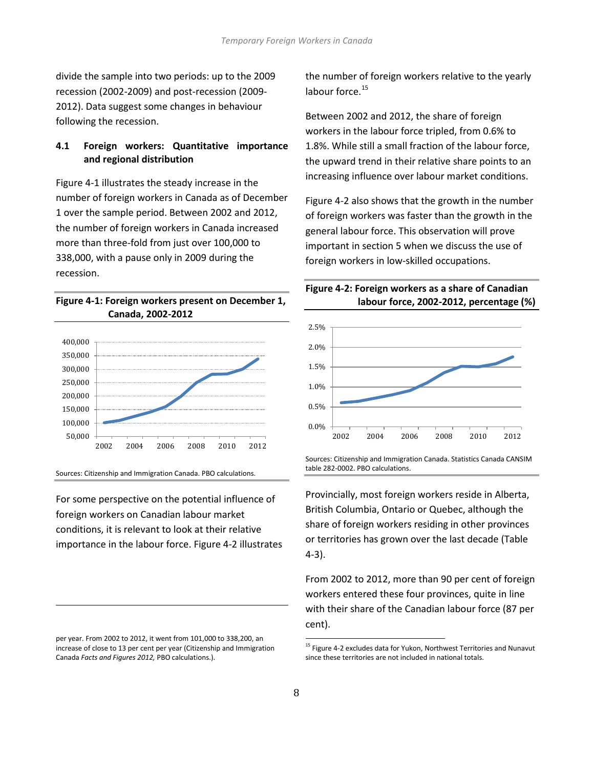divide the sample into two periods: up to the 2009 recession (2002-2009) and post-recession (2009- 2012). Data suggest some changes in behaviour following the recession.

#### **4.1 Foreign workers: Quantitative importance and regional distribution**

Figure 4-1 illustrates the steady increase in the number of foreign workers in Canada as of December 1 over the sample period. Between 2002 and 2012, the number of foreign workers in Canada increased more than three-fold from just over 100,000 to 338,000, with a pause only in 2009 during the recession.

#### **Figure 4-1: Foreign workers present on December 1, Canada, 2002-2012**



Sources: Citizenship and Immigration Canada. PBO calculations.

For some perspective on the potential influence of foreign workers on Canadian labour market conditions, it is relevant to look at their relative importance in the labour force. Figure 4-2 illustrates

<span id="page-9-0"></span>per year. From 2002 to 2012, it went from 101,000 to 338,200, an increase of close to 13 per cent per year (Citizenship and Immigration Canada *Facts and Figures 2012,* PBO calculations.).

 $\overline{a}$ 

the number of foreign workers relative to the yearly labour force.<sup>[15](#page-8-1)</sup>

Between 2002 and 2012, the share of foreign workers in the labour force tripled, from 0.6% to 1.8%. While still a small fraction of the labour force, the upward trend in their relative share points to an increasing influence over labour market conditions.

Figure 4-2 also shows that the growth in the number of foreign workers was faster than the growth in the general labour force. This observation will prove important in section 5 when we discuss the use of foreign workers in low-skilled occupations.

## **Figure 4-2: Foreign workers as a share of Canadian labour force, 2002-2012, percentage (%)**



Sources: Citizenship and Immigration Canada. Statistics Canada CANSIM table 282-0002. PBO calculations.

Provincially, most foreign workers reside in Alberta, British Columbia, Ontario or Quebec, although the share of foreign workers residing in other provinces or territories has grown over the last decade (Table 4-3).

From 2002 to 2012, more than 90 per cent of foreign workers entered these four provinces, quite in line with their share of the Canadian labour force (87 per cent).

<sup>&</sup>lt;sup>15</sup> Figure 4-2 excludes data for Yukon, Northwest Territories and Nunavut since these territories are not included in national totals.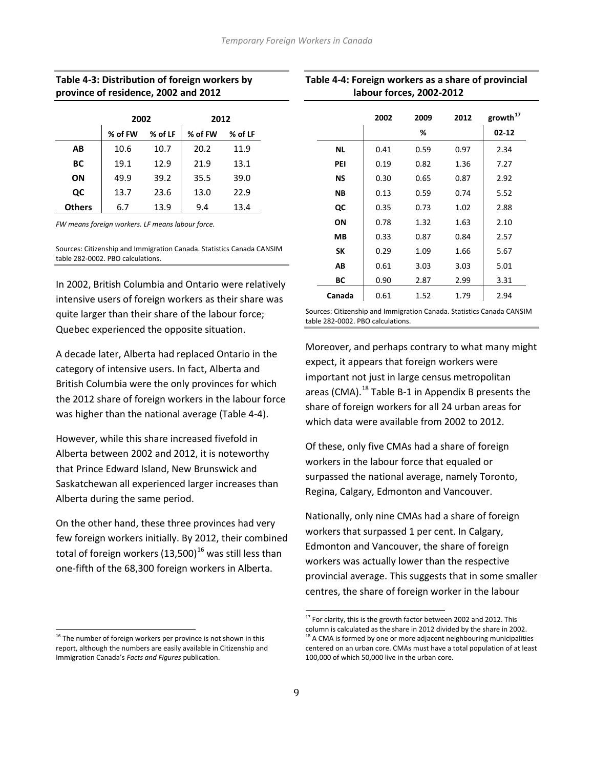#### **Table 4-3: Distribution of foreign workers by province of residence, 2002 and 2012**

|               | 2002    |         | 2012    |         |
|---------------|---------|---------|---------|---------|
|               | % of FW | % of LF | % of FW | % of LF |
| AB            | 10.6    | 10.7    | 20.2    | 11.9    |
| ВC            | 19.1    | 12.9    | 21.9    | 13.1    |
| ΟN            | 49.9    | 39.2    | 35.5    | 39.0    |
| QC            | 13.7    | 23.6    | 13.0    | 22.9    |
| <b>Others</b> | 6.7     | 13.9    | 9.4     | 13.4    |

*FW means foreign workers. LF means labour force.*

Sources: Citizenship and Immigration Canada. Statistics Canada CANSIM table 282-0002. PBO calculations.

In 2002, British Columbia and Ontario were relatively intensive users of foreign workers as their share was quite larger than their share of the labour force; Quebec experienced the opposite situation.

A decade later, Alberta had replaced Ontario in the category of intensive users. In fact, Alberta and British Columbia were the only provinces for which the 2012 share of foreign workers in the labour force was higher than the national average (Table 4-4).

However, while this share increased fivefold in Alberta between 2002 and 2012, it is noteworthy that Prince Edward Island, New Brunswick and Saskatchewan all experienced larger increases than Alberta during the same period.

On the other hand, these three provinces had very few foreign workers initially. By 2012, their combined total of foreign workers  $(13,500)^{16}$  $(13,500)^{16}$  $(13,500)^{16}$  was still less than one-fifth of the 68,300 foreign workers in Alberta.

| Table 4-4: Foreign workers as a share of provincial |
|-----------------------------------------------------|
| labour forces, 2002-2012                            |

|           | 2002 | 2009 | 2012 | $\text{growth}^{17}$ |
|-----------|------|------|------|----------------------|
|           |      | %    |      | $02 - 12$            |
| <b>NL</b> | 0.41 | 0.59 | 0.97 | 2.34                 |
| PEI       | 0.19 | 0.82 | 1.36 | 7.27                 |
| ΝS        | 0.30 | 0.65 | 0.87 | 2.92                 |
| NΒ        | 0.13 | 0.59 | 0.74 | 5.52                 |
| QC        | 0.35 | 0.73 | 1.02 | 2.88                 |
| ΟN        | 0.78 | 1.32 | 1.63 | 2.10                 |
| MВ        | 0.33 | 0.87 | 0.84 | 2.57                 |
| SΚ        | 0.29 | 1.09 | 1.66 | 5.67                 |
| AВ        | 0.61 | 3.03 | 3.03 | 5.01                 |
| BС        | 0.90 | 2.87 | 2.99 | 3.31                 |
| Canada    | 0.61 | 1.52 | 1.79 | 2.94                 |

Sources: Citizenship and Immigration Canada. Statistics Canada CANSIM table 282-0002. PBO calculations.

Moreover, and perhaps contrary to what many might expect, it appears that foreign workers were important not just in large census metropolitan areas (CMA).<sup>[18](#page-10-1)</sup> Table B-1 in Appendix B presents the share of foreign workers for all 24 urban areas for which data were available from 2002 to 2012.

Of these, only five CMAs had a share of foreign workers in the labour force that equaled or surpassed the national average, namely Toronto, Regina, Calgary, Edmonton and Vancouver.

Nationally, only nine CMAs had a share of foreign workers that surpassed 1 per cent. In Calgary, Edmonton and Vancouver, the share of foreign workers was actually lower than the respective provincial average. This suggests that in some smaller centres, the share of foreign worker in the labour

<span id="page-10-1"></span><span id="page-10-0"></span><sup>&</sup>lt;sup>16</sup> The number of foreign workers per province is not shown in this report, although the numbers are easily available in Citizenship and Immigration Canada's *Facts and Figures* publication.

 $17$  For clarity, this is the growth factor between 2002 and 2012. This column is calculated as the share in 2012 divided by the share in 2002.  $18$  A CMA is formed by one or more adjacent neighbouring municipalities centered on an urban core. CMAs must have a total population of at least 100,000 of which 50,000 live in the urban core.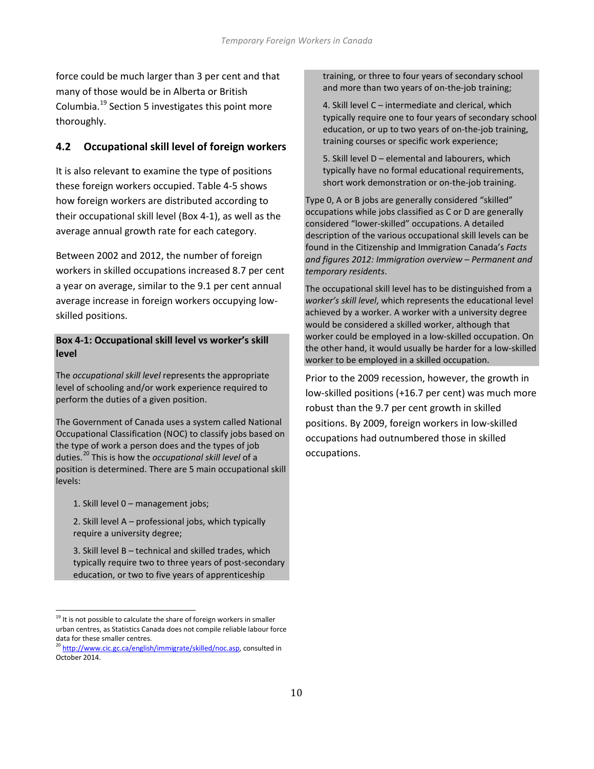force could be much larger than 3 per cent and that many of those would be in Alberta or British Columbia.[19](#page-10-0) Section 5 investigates this point more thoroughly.

## **4.2 Occupational skill level of foreign workers**

It is also relevant to examine the type of positions these foreign workers occupied. Table 4-5 shows how foreign workers are distributed according to their occupational skill level (Box 4-1), as well as the average annual growth rate for each category.

Between 2002 and 2012, the number of foreign workers in skilled occupations increased 8.7 per cent a year on average, similar to the 9.1 per cent annual average increase in foreign workers occupying lowskilled positions.

#### **Box 4-1: Occupational skill level vs worker's skill level**

The *occupational skill level* represents the appropriate level of schooling and/or work experience required to perform the duties of a given position.

The Government of Canada uses a system called National Occupational Classification (NOC) to classify jobs based on the type of work a person does and the types of job duties.[20](#page-11-0) This is how the *occupational skill level* of a position is determined. There are 5 main occupational skill levels:

1. Skill level 0 – management jobs;

2. Skill level A – professional jobs, which typically require a university degree;

3. Skill level B – technical and skilled trades, which typically require two to three years of post-secondary education, or two to five years of apprenticeship

training, or three to four years of secondary school and more than two years of on-the-job training;

4. Skill level C – intermediate and clerical, which typically require one to four years of secondary school education, or up to two years of on-the-job training, training courses or specific work experience;

5. Skill level D – elemental and labourers, which typically have no formal educational requirements, short work demonstration or on-the-job training.

Type 0, A or B jobs are generally considered "skilled" occupations while jobs classified as C or D are generally considered "lower-skilled" occupations. A detailed description of the various occupational skill levels can be found in the Citizenship and Immigration Canada's *Facts and figures 2012: Immigration overview – Permanent and temporary residents*.

The occupational skill level has to be distinguished from a *worker's skill level*, which represents the educational level achieved by a worker. A worker with a university degree would be considered a skilled worker, although that worker could be employed in a low-skilled occupation. On the other hand, it would usually be harder for a low-skilled worker to be employed in a skilled occupation.

Prior to the 2009 recession, however, the growth in low-skilled positions (+16.7 per cent) was much more robust than the 9.7 per cent growth in skilled positions. By 2009, foreign workers in low-skilled occupations had outnumbered those in skilled occupations.

 $19$  It is not possible to calculate the share of foreign workers in smaller urban centres, as Statistics Canada does not compile reliable labour force data for these smaller centres.

<span id="page-11-1"></span><span id="page-11-0"></span><sup>&</sup>lt;sup>20</sup> [http://www.cic.gc.ca/english/immigrate/skilled/noc.asp,](http://www.cic.gc.ca/english/immigrate/skilled/noc.asp) consulted in October 2014.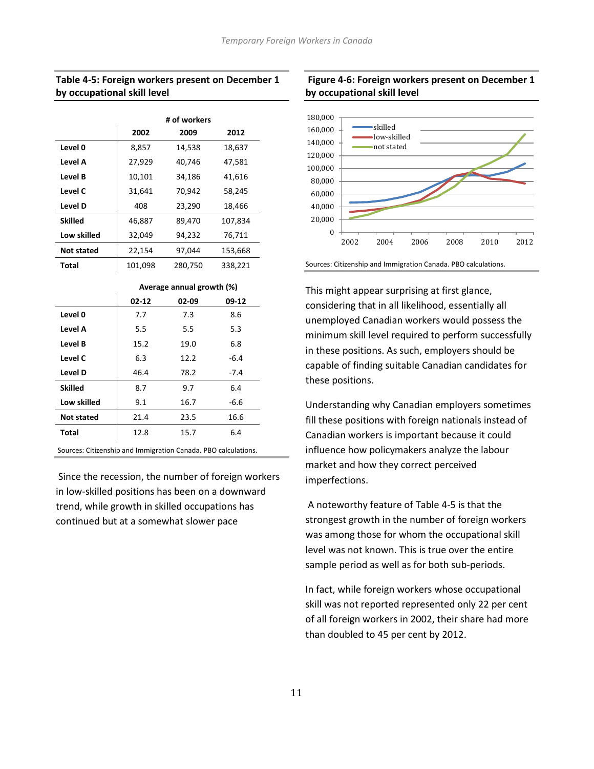#### **Table 4-5: Foreign workers present on December 1 by occupational skill level**

|                |         | # of workers |         |
|----------------|---------|--------------|---------|
|                | 2002    | 2009         | 2012    |
| Level 0        | 8,857   | 14,538       | 18,637  |
| Level A        | 27,929  | 40,746       | 47,581  |
| Level B        | 10,101  | 34,186       | 41,616  |
| Level C        | 31,641  | 70,942       | 58,245  |
| Level D        | 408     | 23,290       | 18,466  |
| <b>Skilled</b> | 46,887  | 89,470       | 107,834 |
| Low skilled    | 32,049  | 94,232       | 76,711  |
| Not stated     | 22,154  | 97,044       | 153,668 |
| Total          | 101,098 | 280,750      | 338,221 |

#### **Average annual growth (%)**

|                   | $02 - 12$ | 02-09 | $09-12$ |
|-------------------|-----------|-------|---------|
| Level 0           | 7.7       | 7.3   | 8.6     |
| Level A           | 5.5       | 5.5   | 5.3     |
| Level B           | 15.2      | 19.0  | 6.8     |
| Level C           | 6.3       | 12.2  | $-6.4$  |
| Level D           | 46.4      | 78.2  | $-7.4$  |
| <b>Skilled</b>    | 8.7       | 9.7   | 6.4     |
| Low skilled       | 9.1       | 16.7  | $-6.6$  |
| <b>Not stated</b> | 21.4      | 23.5  | 16.6    |
| <b>Total</b>      | 12.8      | 15.7  | 6.4     |
|                   |           |       |         |

Sources: Citizenship and Immigration Canada. PBO calculations.

Since the recession, the number of foreign workers in low-skilled positions has been on a downward trend, while growth in skilled occupations has continued but at a somewhat slower pace

#### **Figure 4-6: Foreign workers present on December 1 by occupational skill level**



Sources: Citizenship and Immigration Canada. PBO calculations.

This might appear surprising at first glance, considering that in all likelihood, essentially all unemployed Canadian workers would possess the minimum skill level required to perform successfully in these positions. As such, employers should be capable of finding suitable Canadian candidates for these positions.

Understanding why Canadian employers sometimes fill these positions with foreign nationals instead of Canadian workers is important because it could influence how policymakers analyze the labour market and how they correct perceived imperfections.

A noteworthy feature of Table 4-5 is that the strongest growth in the number of foreign workers was among those for whom the occupational skill level was not known. This is true over the entire sample period as well as for both sub-periods.

In fact, while foreign workers whose occupational skill was not reported represented only 22 per cent of all foreign workers in 2002, their share had more than doubled to 45 per cent by 2012.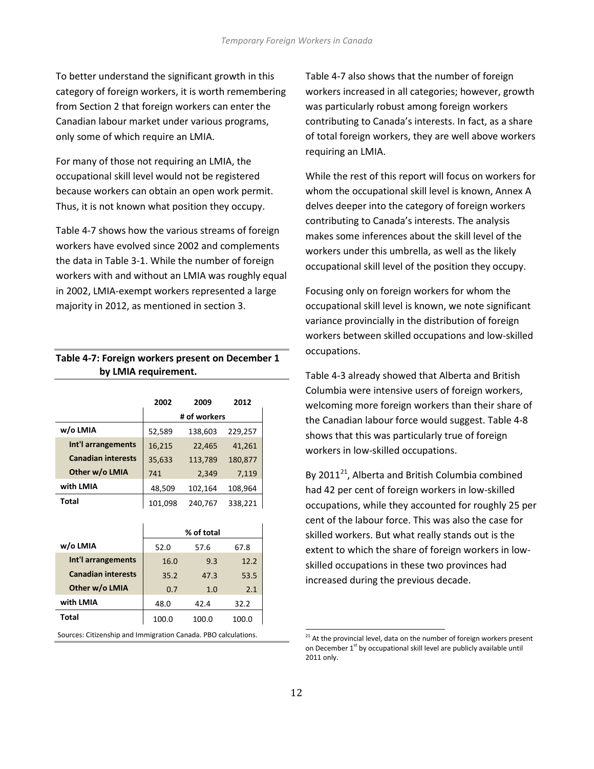To better understand the significant growth in this category of foreign workers, it is worth remembering from Section 2 that foreign workers can enter the Canadian labour market under various programs, only some of which require an LMIA.

For many of those not requiring an LMIA, the occupational skill level would not be registered because workers can obtain an open work permit. Thus, it is not known what position they occupy.

Table 4-7 shows how the various streams of foreign workers have evolved since 2002 and complements the data in Table 3-1. While the number of foreign workers with and without an LMIA was roughly equal in 2002, LMIA-exempt workers represented a large majority in 2012, as mentioned in section 3.

#### **Table 4-7: Foreign workers present on December 1 by LMIA requirement.**

|                           | 2002    | 2009         | 2012    |
|---------------------------|---------|--------------|---------|
|                           |         | # of workers |         |
| w/o LMIA                  | 52,589  | 138,603      | 229,257 |
| Int'l arrangements        | 16,215  | 22,465       | 41,261  |
| <b>Canadian interests</b> | 35,633  | 113,789      | 180,877 |
| Other w/o LMIA            | 741     | 2,349        | 7,119   |
| with LMIA                 | 48,509  | 102,164      | 108,964 |
| <b>Total</b>              | 101,098 | 240.767      | 338,221 |

|                           | % of total        |       |       |  |  |
|---------------------------|-------------------|-------|-------|--|--|
| w/o LMIA                  | 52.0              | 57.6  | 67.8  |  |  |
| Int'l arrangements        | 16.0              | 9.3   | 12.2  |  |  |
| <b>Canadian interests</b> | 35.2              | 47.3  | 53.5  |  |  |
| Other w/o LMIA            | 2.1<br>0.7<br>1.0 |       |       |  |  |
| with LMIA                 | 48.0              | 42.4  | 32.2  |  |  |
| Total                     | 100.0             | 100.0 | 100.0 |  |  |

<span id="page-13-0"></span>Sources: Citizenship and Immigration Canada. PBO calculations.

Table 4-7 also shows that the number of foreign workers increased in all categories; however, growth was particularly robust among foreign workers contributing to Canada's interests. In fact, as a share of total foreign workers, they are well above workers requiring an LMIA.

While the rest of this report will focus on workers for whom the occupational skill level is known, Annex A delves deeper into the category of foreign workers contributing to Canada's interests. The analysis makes some inferences about the skill level of the workers under this umbrella, as well as the likely occupational skill level of the position they occupy.

Focusing only on foreign workers for whom the occupational skill level is known, we note significant variance provincially in the distribution of foreign workers between skilled occupations and low-skilled occupations.

Table 4-3 already showed that Alberta and British Columbia were intensive users of foreign workers, welcoming more foreign workers than their share of the Canadian labour force would suggest. Table 4-8 shows that this was particularly true of foreign workers in low-skilled occupations.

By 2011 $^{21}$  $^{21}$  $^{21}$ , Alberta and British Columbia combined had 42 per cent of foreign workers in low-skilled occupations, while they accounted for roughly 25 per cent of the labour force. This was also the case for skilled workers. But what really stands out is the extent to which the share of foreign workers in lowskilled occupations in these two provinces had increased during the previous decade.

 $21$  At the provincial level, data on the number of foreign workers present on December  $1<sup>st</sup>$  by occupational skill level are publicly available until 2011 only.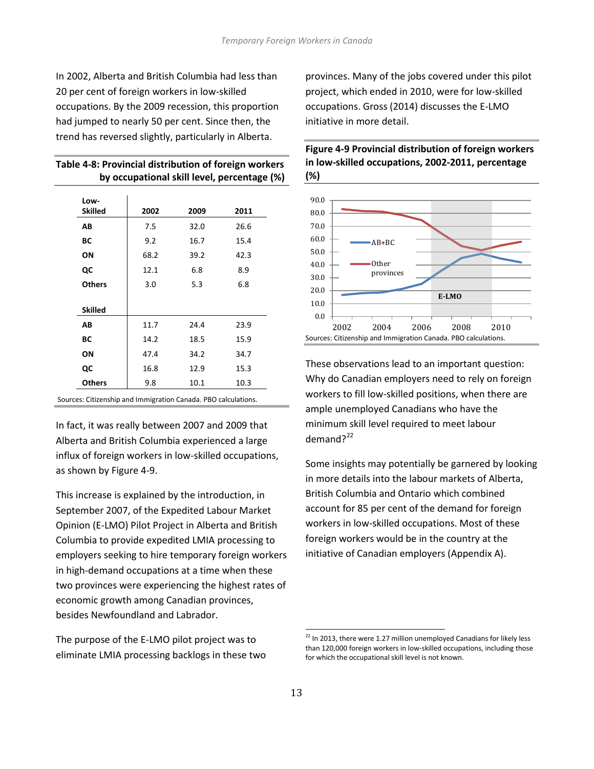In 2002, Alberta and British Columbia had less than 20 per cent of foreign workers in low-skilled occupations. By the 2009 recession, this proportion had jumped to nearly 50 per cent. Since then, the trend has reversed slightly, particularly in Alberta.

| Table 4-8: Provincial distribution of foreign workers |
|-------------------------------------------------------|
| by occupational skill level, percentage (%)           |

| Low-<br><b>Skilled</b> | 2002 | 2009 | 2011 |
|------------------------|------|------|------|
| AВ                     | 7.5  | 32.0 | 26.6 |
| ВC                     | 9.2  | 16.7 | 15.4 |
| ON                     | 68.2 | 39.2 | 42.3 |
| QC                     | 12.1 | 6.8  | 8.9  |
| <b>Others</b>          | 3.0  | 5.3  | 6.8  |
| <b>Skilled</b>         |      |      |      |
| AВ                     | 11.7 | 24.4 | 23.9 |
| ВC                     | 14.2 | 18.5 | 15.9 |
| ON                     | 47.4 | 34.2 | 34.7 |
| QC                     | 16.8 | 12.9 | 15.3 |
| <b>Others</b>          | 9.8  | 10.1 | 10.3 |

Sources: Citizenship and Immigration Canada. PBO calculations.

In fact, it was really between 2007 and 2009 that Alberta and British Columbia experienced a large influx of foreign workers in low-skilled occupations, as shown by Figure 4-9.

This increase is explained by the introduction, in September 2007, of the Expedited Labour Market Opinion (E-LMO) Pilot Project in Alberta and British Columbia to provide expedited LMIA processing to employers seeking to hire temporary foreign workers in high-demand occupations at a time when these two provinces were experiencing the highest rates of economic growth among Canadian provinces, besides Newfoundland and Labrador.

<span id="page-14-0"></span>The purpose of the E-LMO pilot project was to eliminate LMIA processing backlogs in these two provinces. Many of the jobs covered under this pilot project, which ended in 2010, were for low-skilled occupations. Gross (2014) discusses the E-LMO initiative in more detail.



**Figure 4-9 Provincial distribution of foreign workers in low-skilled occupations, 2002-2011, percentage (%)**

These observations lead to an important question: Why do Canadian employers need to rely on foreign workers to fill low-skilled positions, when there are ample unemployed Canadians who have the minimum skill level required to meet labour demand?<sup>[22](#page-13-0)</sup>

Some insights may potentially be garnered by looking in more details into the labour markets of Alberta, British Columbia and Ontario which combined account for 85 per cent of the demand for foreign workers in low-skilled occupations. Most of these foreign workers would be in the country at the initiative of Canadian employers (Appendix A).

 $22$  In 2013, there were 1.27 million unemployed Canadians for likely less than 120,000 foreign workers in low-skilled occupations, including those for which the occupational skill level is not known.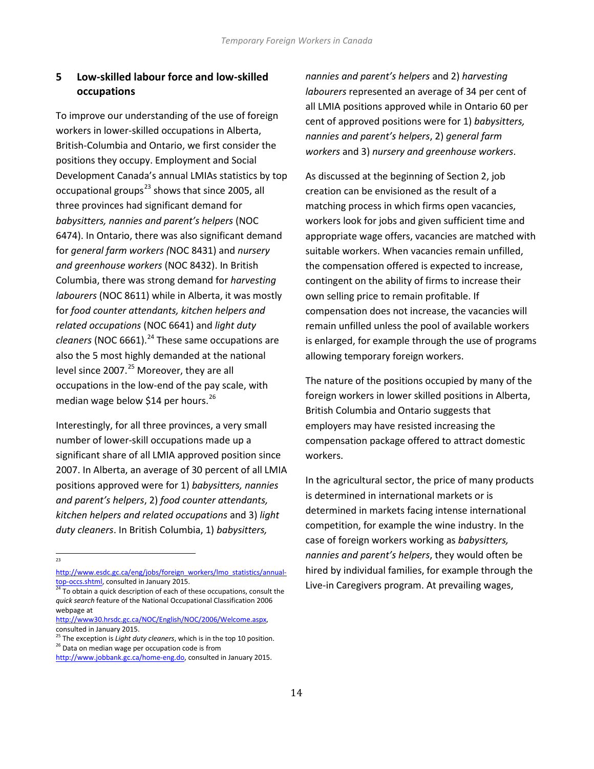# **5 Low-skilled labour force and low-skilled occupations**

To improve our understanding of the use of foreign workers in lower-skilled occupations in Alberta, British-Columbia and Ontario, we first consider the positions they occupy. Employment and Social Development Canada's annual LMIAs statistics by top occupational groups<sup>[23](#page-14-0)</sup> shows that since 2005, all three provinces had significant demand for *babysitters, nannies and parent's helpers* (NOC 6474). In Ontario, there was also significant demand for *general farm workers (*NOC 8431) and *nursery and greenhouse workers* (NOC 8432). In British Columbia, there was strong demand for *harvesting labourers* (NOC 8611) while in Alberta, it was mostly for *food counter attendants, kitchen helpers and related occupations* (NOC 6641) and *light duty cleaners* (NOC 6661).<sup>[24](#page-15-0)</sup> These same occupations are also the 5 most highly demanded at the national level since 2007.<sup>[25](#page-15-1)</sup> Moreover, they are all occupations in the low-end of the pay scale, with median wage below \$14 per hours.<sup>[26](#page-15-2)</sup>

Interestingly, for all three provinces, a very small number of lower-skill occupations made up a significant share of all LMIA approved position since 2007. In Alberta, an average of 30 percent of all LMIA positions approved were for 1) *babysitters, nannies and parent's helpers*, 2) *food counter attendants, kitchen helpers and related occupations* and 3) *light duty cleaners*. In British Columbia, 1) *babysitters,* 

<span id="page-15-3"></span> $23$ 

*nannies and parent's helpers* and 2) *harvesting labourers* represented an average of 34 per cent of all LMIA positions approved while in Ontario 60 per cent of approved positions were for 1) *babysitters, nannies and parent's helpers*, 2) *general farm workers* and 3) *nursery and greenhouse workers*.

As discussed at the beginning of Section 2, job creation can be envisioned as the result of a matching process in which firms open vacancies, workers look for jobs and given sufficient time and appropriate wage offers, vacancies are matched with suitable workers. When vacancies remain unfilled, the compensation offered is expected to increase, contingent on the ability of firms to increase their own selling price to remain profitable. If compensation does not increase, the vacancies will remain unfilled unless the pool of available workers is enlarged, for example through the use of programs allowing temporary foreign workers.

The nature of the positions occupied by many of the foreign workers in lower skilled positions in Alberta, British Columbia and Ontario suggests that employers may have resisted increasing the compensation package offered to attract domestic workers.

In the agricultural sector, the price of many products is determined in international markets or is determined in markets facing intense international competition, for example the wine industry. In the case of foreign workers working as *babysitters, nannies and parent's helpers*, they would often be hired by individual families, for example through the Live-in Caregivers program. At prevailing wages,

[http://www.esdc.gc.ca/eng/jobs/foreign\\_workers/lmo\\_statistics/annual-](http://www.esdc.gc.ca/eng/jobs/foreign_workers/lmo_statistics/annual-top-occs.shtml)

<span id="page-15-0"></span>[top-occs.shtml,](http://www.esdc.gc.ca/eng/jobs/foreign_workers/lmo_statistics/annual-top-occs.shtml) consulted in January 2015.<br><sup>24</sup> To obtain a quick description of each of these occupations, consult the *quick search* feature of the National Occupational Classification 2006 webpage at

[http://www30.hrsdc.gc.ca/NOC/English/NOC/2006/Welcome.aspx,](http://www30.hrsdc.gc.ca/NOC/English/NOC/2006/Welcome.aspx)  consulted in January 2015.<br><sup>25</sup> The exception is *Light duty cleaners*, which is in the top 10 position.

<span id="page-15-2"></span><span id="page-15-1"></span><sup>&</sup>lt;sup>26</sup> Data on median wage per occupation code is from

[http://www.jobbank.gc.ca/home-eng.do,](http://www.jobbank.gc.ca/home-eng.do) consulted in January 2015.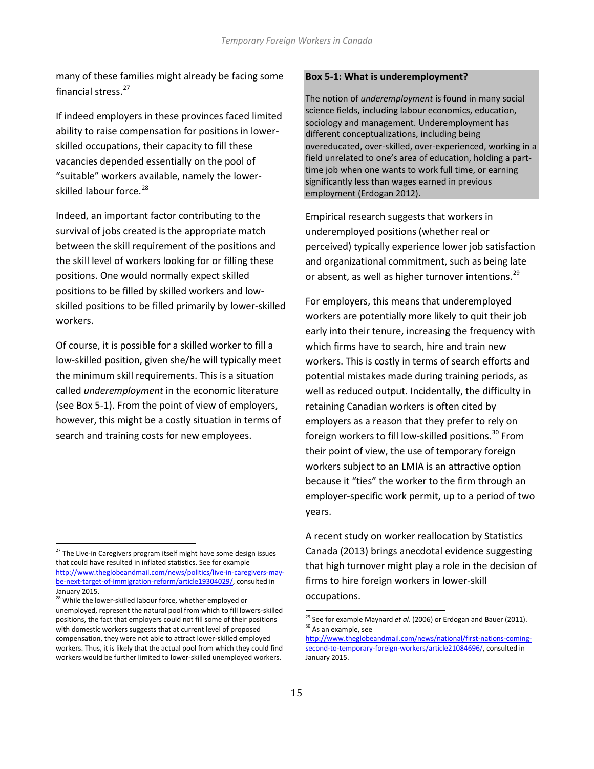many of these families might already be facing some financial stress.<sup>[27](#page-15-3)</sup>

If indeed employers in these provinces faced limited ability to raise compensation for positions in lowerskilled occupations, their capacity to fill these vacancies depended essentially on the pool of "suitable" workers available, namely the lower-skilled labour force.<sup>[28](#page-16-0)</sup>

Indeed, an important factor contributing to the survival of jobs created is the appropriate match between the skill requirement of the positions and the skill level of workers looking for or filling these positions. One would normally expect skilled positions to be filled by skilled workers and lowskilled positions to be filled primarily by lower-skilled workers.

Of course, it is possible for a skilled worker to fill a low-skilled position, given she/he will typically meet the minimum skill requirements. This is a situation called *underemployment* in the economic literature (see Box 5-1). From the point of view of employers, however, this might be a costly situation in terms of search and training costs for new employees.

#### **Box 5-1: What is underemployment?**

The notion of *underemployment* is found in many social science fields, including labour economics, education, sociology and management. Underemployment has different conceptualizations, including being overeducated, over-skilled, over-experienced, working in a field unrelated to one's area of education, holding a parttime job when one wants to work full time, or earning significantly less than wages earned in previous employment (Erdogan 2012).

Empirical research suggests that workers in underemployed positions (whether real or perceived) typically experience lower job satisfaction and organizational commitment, such as being late or absent, as well as higher turnover intentions.<sup>[29](#page-16-1)</sup>

For employers, this means that underemployed workers are potentially more likely to quit their job early into their tenure, increasing the frequency with which firms have to search, hire and train new workers. This is costly in terms of search efforts and potential mistakes made during training periods, as well as reduced output. Incidentally, the difficulty in retaining Canadian workers is often cited by employers as a reason that they prefer to rely on foreign workers to fill low-skilled positions.<sup>[30](#page-16-2)</sup> From their point of view, the use of temporary foreign workers subject to an LMIA is an attractive option because it "ties" the worker to the firm through an employer-specific work permit, up to a period of two years.

A recent study on worker reallocation by Statistics Canada (2013) brings anecdotal evidence suggesting that high turnover might play a role in the decision of firms to hire foreign workers in lower-skill occupations.

<span id="page-16-3"></span> $27$  The Live-in Caregivers program itself might have some design issues that could have resulted in inflated statistics. See for example [http://www.theglobeandmail.com/news/politics/live-in-caregivers-may](http://www.theglobeandmail.com/news/politics/live-in-caregivers-may-be-next-target-of-immigration-reform/article19304029/)[be-next-target-of-immigration-reform/article19304029/,](http://www.theglobeandmail.com/news/politics/live-in-caregivers-may-be-next-target-of-immigration-reform/article19304029/) consulted in January 2015.

<span id="page-16-2"></span><span id="page-16-1"></span><span id="page-16-0"></span><sup>&</sup>lt;sup>28</sup> While the lower-skilled labour force, whether employed or unemployed, represent the natural pool from which to fill lowers-skilled positions, the fact that employers could not fill some of their positions with domestic workers suggests that at current level of proposed compensation, they were not able to attract lower-skilled employed workers. Thus, it is likely that the actual pool from which they could find workers would be further limited to lower-skilled unemployed workers.

<sup>&</sup>lt;sup>29</sup> See for example Maynard *et al.* (2006) or Erdogan and Bauer (2011). <sup>30</sup> As an example, see

[http://www.theglobeandmail.com/news/national/first-nations-coming](http://www.theglobeandmail.com/news/national/first-nations-coming-second-to-temporary-foreign-workers/article21084696/)[second-to-temporary-foreign-workers/article21084696/,](http://www.theglobeandmail.com/news/national/first-nations-coming-second-to-temporary-foreign-workers/article21084696/) consulted in January 2015.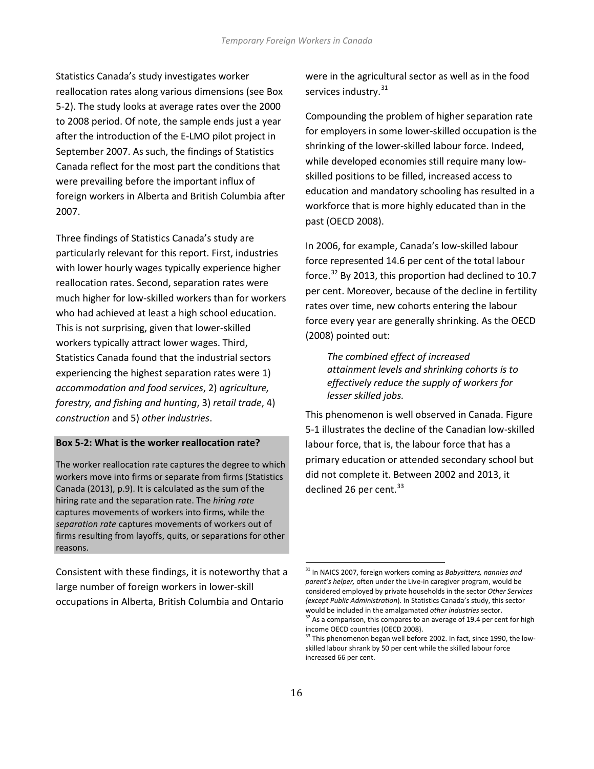Statistics Canada's study investigates worker reallocation rates along various dimensions (see Box 5-2). The study looks at average rates over the 2000 to 2008 period. Of note, the sample ends just a year after the introduction of the E-LMO pilot project in September 2007. As such, the findings of Statistics Canada reflect for the most part the conditions that were prevailing before the important influx of foreign workers in Alberta and British Columbia after 2007.

Three findings of Statistics Canada's study are particularly relevant for this report. First, industries with lower hourly wages typically experience higher reallocation rates. Second, separation rates were much higher for low-skilled workers than for workers who had achieved at least a high school education. This is not surprising, given that lower-skilled workers typically attract lower wages. Third, Statistics Canada found that the industrial sectors experiencing the highest separation rates were 1) *accommodation and food services*, 2) *agriculture, forestry, and fishing and hunting*, 3) *retail trade*, 4) *construction* and 5) *other industries*.

#### **Box 5-2: What is the worker reallocation rate?**

The worker reallocation rate captures the degree to which workers move into firms or separate from firms (Statistics Canada (2013), p.9). It is calculated as the sum of the hiring rate and the separation rate. The *hiring rate* captures movements of workers into firms, while the *separation rate* captures movements of workers out of firms resulting from layoffs, quits, or separations for other reasons.

<span id="page-17-2"></span><span id="page-17-1"></span><span id="page-17-0"></span>Consistent with these findings, it is noteworthy that a large number of foreign workers in lower-skill occupations in Alberta, British Columbia and Ontario

were in the agricultural sector as well as in the food services industry.<sup>[31](#page-16-3)</sup>

Compounding the problem of higher separation rate for employers in some lower-skilled occupation is the shrinking of the lower-skilled labour force. Indeed, while developed economies still require many lowskilled positions to be filled, increased access to education and mandatory schooling has resulted in a workforce that is more highly educated than in the past (OECD 2008).

In 2006, for example, Canada's low-skilled labour force represented 14.6 per cent of the total labour force.<sup>[32](#page-17-0)</sup> By 2013, this proportion had declined to 10.7 per cent. Moreover, because of the decline in fertility rates over time, new cohorts entering the labour force every year are generally shrinking. As the OECD (2008) pointed out:

*The combined effect of increased attainment levels and shrinking cohorts is to effectively reduce the supply of workers for lesser skilled jobs.*

This phenomenon is well observed in Canada. Figure 5-1 illustrates the decline of the Canadian low-skilled labour force, that is, the labour force that has a primary education or attended secondary school but did not complete it. Between 2002 and 2013, it declined 26 per cent. $33$ 

<sup>31</sup> In NAICS 2007, foreign workers coming as *Babysitters, nannies and parent's helper,* often under the Live-in caregiver program, would be considered employed by private households in the sector *Other Services (except Public Administration*). In Statistics Canada's study, this sector

<sup>&</sup>lt;sup>32</sup> As a comparison, this compares to an average of 19.4 per cent for high income OECD countries (OECD 2008).

 $33$  This phenomenon began well before 2002. In fact, since 1990, the lowskilled labour shrank by 50 per cent while the skilled labour force increased 66 per cent.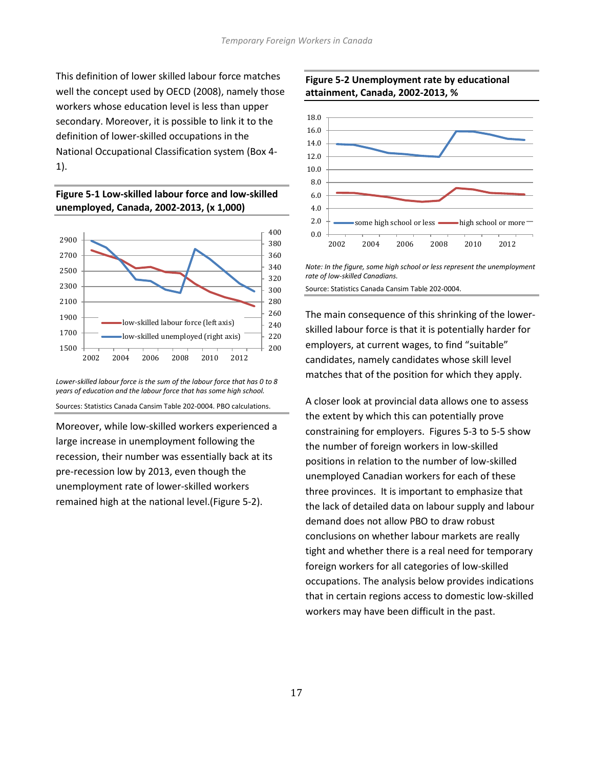This definition of lower skilled labour force matches well the concept used by OECD (2008), namely those workers whose education level is less than upper secondary. Moreover, it is possible to link it to the definition of lower-skilled occupations in the National Occupational Classification system (Box 4- 1).





*Lower-skilled labour force is the sum of the labour force that has 0 to 8 years of education and the labour force that has some high school.*

Sources: Statistics Canada Cansim Table 202-0004. PBO calculations.

Moreover, while low-skilled workers experienced a large increase in unemployment following the recession, their number was essentially back at its pre-recession low by 2013, even though the unemployment rate of lower-skilled workers remained high at the national level.(Figure 5-2).

#### **Figure 5-2 Unemployment rate by educational attainment, Canada, 2002-2013, %**



*Note: In the figure, some high school or less represent the unemployment rate of low-skilled Canadians.*

Source: Statistics Canada Cansim Table 202-0004.

The main consequence of this shrinking of the lowerskilled labour force is that it is potentially harder for employers, at current wages, to find "suitable" candidates, namely candidates whose skill level matches that of the position for which they apply.

A closer look at provincial data allows one to assess the extent by which this can potentially prove constraining for employers. Figures 5-3 to 5-5 show the number of foreign workers in low-skilled positions in relation to the number of low-skilled unemployed Canadian workers for each of these three provinces. It is important to emphasize that the lack of detailed data on labour supply and labour demand does not allow PBO to draw robust conclusions on whether labour markets are really tight and whether there is a real need for temporary foreign workers for all categories of low-skilled occupations. The analysis below provides indications that in certain regions access to domestic low-skilled workers may have been difficult in the past.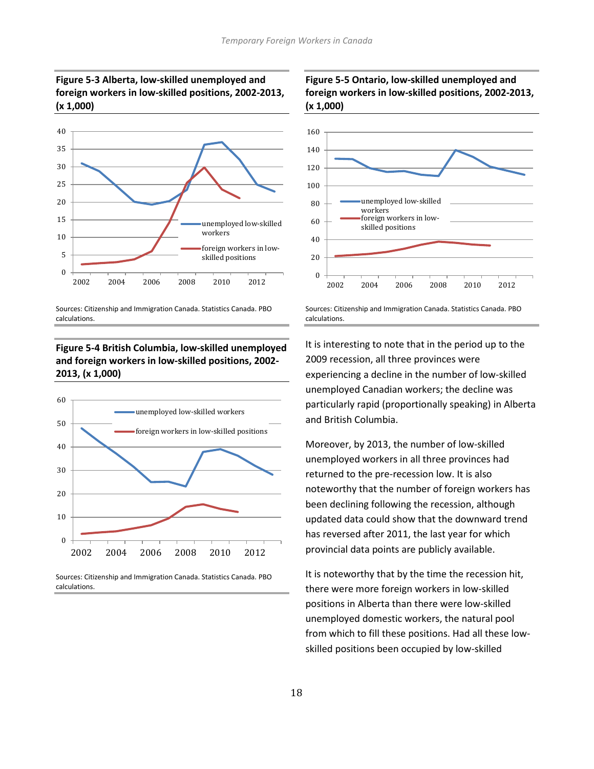



Sources: Citizenship and Immigration Canada. Statistics Canada. PBO calculations.

# **Figure 5-4 British Columbia, low-skilled unemployed and foreign workers in low-skilled positions, 2002- 2013, (x 1,000)**



Sources: Citizenship and Immigration Canada. Statistics Canada. PBO calculations.

#### **Figure 5-5 Ontario, low-skilled unemployed and foreign workers in low-skilled positions, 2002-2013, (x 1,000)**



Sources: Citizenship and Immigration Canada. Statistics Canada. PBO calculations.

It is interesting to note that in the period up to the 2009 recession, all three provinces were experiencing a decline in the number of low-skilled unemployed Canadian workers; the decline was particularly rapid (proportionally speaking) in Alberta and British Columbia.

Moreover, by 2013, the number of low-skilled unemployed workers in all three provinces had returned to the pre-recession low. It is also noteworthy that the number of foreign workers has been declining following the recession, although updated data could show that the downward trend has reversed after 2011, the last year for which provincial data points are publicly available.

It is noteworthy that by the time the recession hit, there were more foreign workers in low-skilled positions in Alberta than there were low-skilled unemployed domestic workers, the natural pool from which to fill these positions. Had all these lowskilled positions been occupied by low-skilled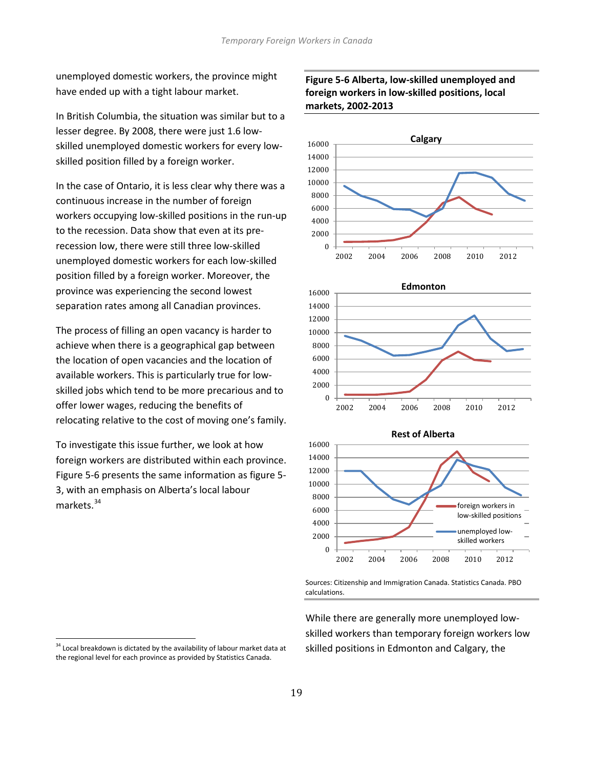unemployed domestic workers, the province might have ended up with a tight labour market.

In British Columbia, the situation was similar but to a lesser degree. By 2008, there were just 1.6 lowskilled unemployed domestic workers for every lowskilled position filled by a foreign worker.

In the case of Ontario, it is less clear why there was a continuous increase in the number of foreign workers occupying low-skilled positions in the run-up to the recession. Data show that even at its prerecession low, there were still three low-skilled unemployed domestic workers for each low-skilled position filled by a foreign worker. Moreover, the province was experiencing the second lowest separation rates among all Canadian provinces.

The process of filling an open vacancy is harder to achieve when there is a geographical gap between the location of open vacancies and the location of available workers. This is particularly true for lowskilled jobs which tend to be more precarious and to offer lower wages, reducing the benefits of relocating relative to the cost of moving one's family.

To investigate this issue further, we look at how foreign workers are distributed within each province. Figure 5-6 presents the same information as figure 5- 3, with an emphasis on Alberta's local labour markets.<sup>[34](#page-17-2)</sup>

# **Figure 5-6 Alberta, low-skilled unemployed and foreign workers in low-skilled positions, local markets, 2002-2013**







Sources: Citizenship and Immigration Canada. Statistics Canada. PBO calculations.

While there are generally more unemployed lowskilled workers than temporary foreign workers low skilled positions in Edmonton and Calgary, the

<span id="page-20-0"></span><sup>&</sup>lt;sup>34</sup> Local breakdown is dictated by the availability of labour market data at the regional level for each province as provided by Statistics Canada.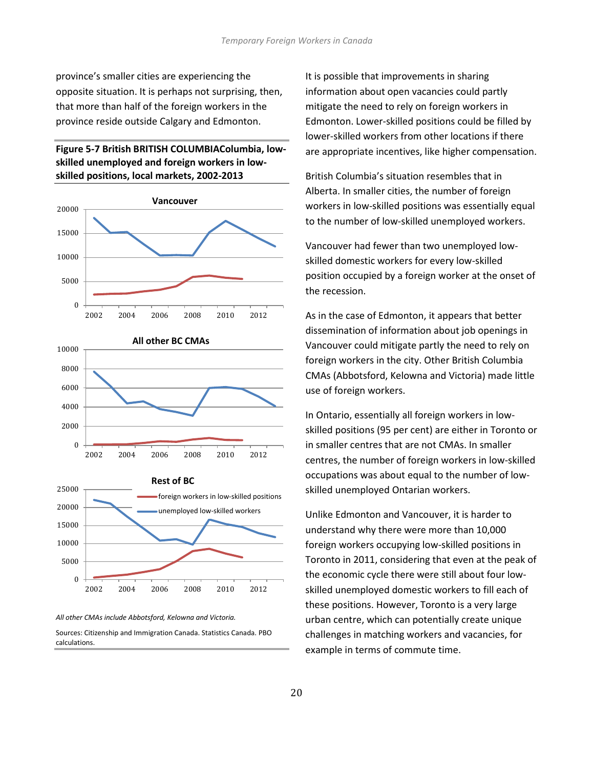province's smaller cities are experiencing the opposite situation. It is perhaps not surprising, then, that more than half of the foreign workers in the province reside outside Calgary and Edmonton.

#### **Figure 5-7 British BRITISH COLUMBIAColumbia, lowskilled unemployed and foreign workers in lowskilled positions, local markets, 2002-2013**







*All other CMAs include Abbotsford, Kelowna and Victoria.* 

Sources: Citizenship and Immigration Canada. Statistics Canada. PBO calculations.

It is possible that improvements in sharing information about open vacancies could partly mitigate the need to rely on foreign workers in Edmonton. Lower-skilled positions could be filled by lower-skilled workers from other locations if there are appropriate incentives, like higher compensation.

British Columbia's situation resembles that in Alberta. In smaller cities, the number of foreign workers in low-skilled positions was essentially equal to the number of low-skilled unemployed workers.

Vancouver had fewer than two unemployed lowskilled domestic workers for every low-skilled position occupied by a foreign worker at the onset of the recession.

As in the case of Edmonton, it appears that better dissemination of information about job openings in Vancouver could mitigate partly the need to rely on foreign workers in the city. Other British Columbia CMAs (Abbotsford, Kelowna and Victoria) made little use of foreign workers.

In Ontario, essentially all foreign workers in lowskilled positions (95 per cent) are either in Toronto or in smaller centres that are not CMAs. In smaller centres, the number of foreign workers in low-skilled occupations was about equal to the number of lowskilled unemployed Ontarian workers.

Unlike Edmonton and Vancouver, it is harder to understand why there were more than 10,000 foreign workers occupying low-skilled positions in Toronto in 2011, considering that even at the peak of the economic cycle there were still about four lowskilled unemployed domestic workers to fill each of these positions. However, Toronto is a very large urban centre, which can potentially create unique challenges in matching workers and vacancies, for example in terms of commute time.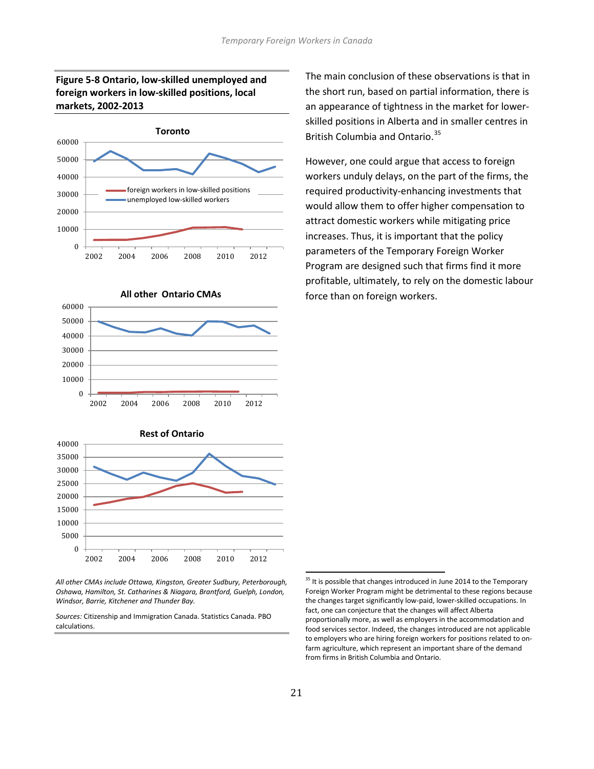## **Figure 5-8 Ontario, low-skilled unemployed and foreign workers in low-skilled positions, local markets, 2002-2013**





 $\theta$ 10000 20000 The main conclusion of these observations is that in the short run, based on partial information, there is an appearance of tightness in the market for lowerskilled positions in Alberta and in smaller centres in British Columbia and Ontario.<sup>[35](#page-20-0)</sup>

However, one could argue that access to foreign workers unduly delays, on the part of the firms, the required productivity-enhancing investments that would allow them to offer higher compensation to attract domestic workers while mitigating price increases. Thus, it is important that the policy parameters of the Temporary Foreign Worker Program are designed such that firms find it more profitable, ultimately, to rely on the domestic labour force than on foreign workers.



2002 2004 2006 2008 2010 2012

*All other CMAs include Ottawa, Kingston, Greater Sudbury, Peterborough, Oshawa, Hamilton, St. Catharines & Niagara, Brantford, Guelph, London, Windsor, Barrie, Kitchener and Thunder Bay.*

<span id="page-22-0"></span>*Sources:* Citizenship and Immigration Canada. Statistics Canada. PBO calculations.

<sup>&</sup>lt;sup>35</sup> It is possible that changes introduced in June 2014 to the Temporary Foreign Worker Program might be detrimental to these regions because the changes target significantly low-paid, lower-skilled occupations. In fact, one can conjecture that the changes will affect Alberta proportionally more, as well as employers in the accommodation and food services sector. Indeed, the changes introduced are not applicable to employers who are hiring foreign workers for positions related to onfarm agriculture, which represent an important share of the demand from firms in British Columbia and Ontario.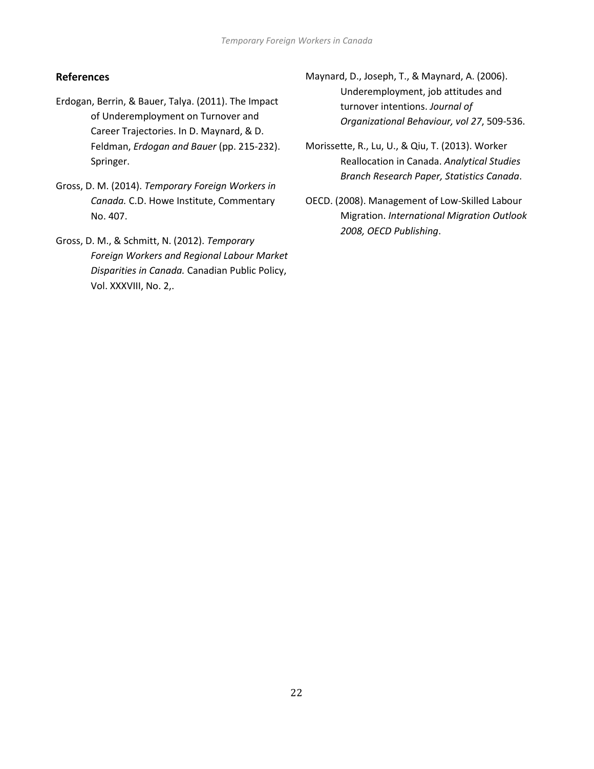# **References**

- Erdogan, Berrin, & Bauer, Talya. (2011). The Impact of Underemployment on Turnover and Career Trajectories. In D. Maynard, & D. Feldman, *Erdogan and Bauer* (pp. 215-232). Springer.
- Gross, D. M. (2014). *Temporary Foreign Workers in Canada.* C.D. Howe Institute, Commentary No. 407.
- Gross, D. M., & Schmitt, N. (2012). *Temporary Foreign Workers and Regional Labour Market Disparities in Canada.* Canadian Public Policy, Vol. XXXVIII, No. 2,.
- Maynard, D., Joseph, T., & Maynard, A. (2006). Underemployment, job attitudes and turnover intentions. *Journal of Organizational Behaviour, vol 27*, 509-536.
- Morissette, R., Lu, U., & Qiu, T. (2013). Worker Reallocation in Canada. *Analytical Studies Branch Research Paper, Statistics Canada*.
- OECD. (2008). Management of Low-Skilled Labour Migration. *International Migration Outlook 2008, OECD Publishing*.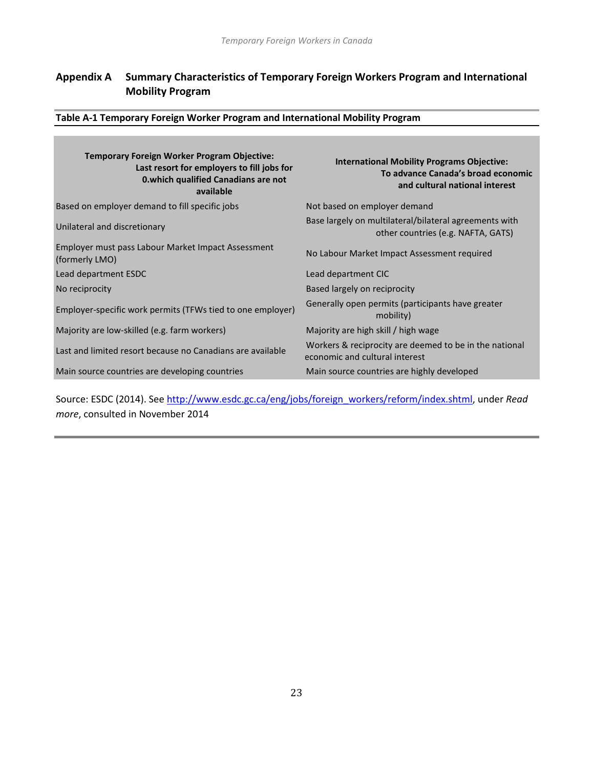# **Appendix A Summary Characteristics of Temporary Foreign Workers Program and International Mobility Program**

**Table A-1 Temporary Foreign Worker Program and International Mobility Program**

| <b>Temporary Foreign Worker Program Objective:</b><br>Last resort for employers to fill jobs for<br><b>0.which qualified Canadians are not</b><br>available | <b>International Mobility Programs Objective:</b><br>To advance Canada's broad economic<br>and cultural national interest |
|-------------------------------------------------------------------------------------------------------------------------------------------------------------|---------------------------------------------------------------------------------------------------------------------------|
| Based on employer demand to fill specific jobs                                                                                                              | Not based on employer demand                                                                                              |
| Unilateral and discretionary                                                                                                                                | Base largely on multilateral/bilateral agreements with<br>other countries (e.g. NAFTA, GATS)                              |
| Employer must pass Labour Market Impact Assessment<br>(formerly LMO)                                                                                        | No Labour Market Impact Assessment required                                                                               |
| Lead department ESDC                                                                                                                                        | Lead department CIC                                                                                                       |
| No reciprocity                                                                                                                                              | Based largely on reciprocity                                                                                              |
| Employer-specific work permits (TFWs tied to one employer)                                                                                                  | Generally open permits (participants have greater<br>mobility)                                                            |
| Majority are low-skilled (e.g. farm workers)                                                                                                                | Majority are high skill / high wage                                                                                       |
| Last and limited resort because no Canadians are available                                                                                                  | Workers & reciprocity are deemed to be in the national<br>economic and cultural interest                                  |
| Main source countries are developing countries                                                                                                              | Main source countries are highly developed                                                                                |

Source: ESDC (2014). See [http://www.esdc.gc.ca/eng/jobs/foreign\\_workers/reform/index.shtml,](http://www.esdc.gc.ca/eng/jobs/foreign_workers/reform/index.shtml) under *Read more*, consulted in November 2014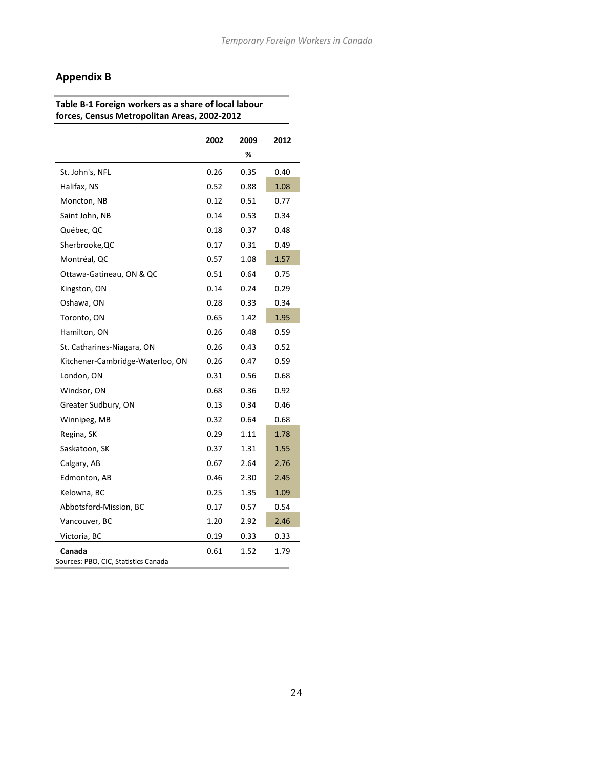# **Appendix B**

#### **Table B-1 Foreign workers as a share of local labour forces, Census Metropolitan Areas, 2002-2012**

|                                                | 2002 | 2009 | 2012 |
|------------------------------------------------|------|------|------|
|                                                |      | %    |      |
| St. John's, NFL                                | 0.26 | 0.35 | 0.40 |
| Halifax, NS                                    | 0.52 | 0.88 | 1.08 |
| Moncton, NB                                    | 0.12 | 0.51 | 0.77 |
| Saint John, NB                                 | 0.14 | 0.53 | 0.34 |
| Québec, QC                                     | 0.18 | 0.37 | 0.48 |
| Sherbrooke, QC                                 | 0.17 | 0.31 | 0.49 |
| Montréal, QC                                   | 0.57 | 1.08 | 1.57 |
| Ottawa-Gatineau, ON & QC                       | 0.51 | 0.64 | 0.75 |
| Kingston, ON                                   | 0.14 | 0.24 | 0.29 |
| Oshawa, ON                                     | 0.28 | 0.33 | 0.34 |
| Toronto, ON                                    | 0.65 | 1.42 | 1.95 |
| Hamilton, ON                                   | 0.26 | 0.48 | 0.59 |
| St. Catharines-Niagara, ON                     | 0.26 | 0.43 | 0.52 |
| Kitchener-Cambridge-Waterloo, ON               | 0.26 | 0.47 | 0.59 |
| London, ON                                     | 0.31 | 0.56 | 0.68 |
| Windsor, ON                                    | 0.68 | 0.36 | 0.92 |
| Greater Sudbury, ON                            | 0.13 | 0.34 | 0.46 |
| Winnipeg, MB                                   | 0.32 | 0.64 | 0.68 |
| Regina, SK                                     | 0.29 | 1.11 | 1.78 |
| Saskatoon, SK                                  | 0.37 | 1.31 | 1.55 |
| Calgary, AB                                    | 0.67 | 2.64 | 2.76 |
| Edmonton, AB                                   | 0.46 | 2.30 | 2.45 |
| Kelowna, BC                                    | 0.25 | 1.35 | 1.09 |
| Abbotsford-Mission, BC                         | 0.17 | 0.57 | 0.54 |
| Vancouver, BC                                  | 1.20 | 2.92 | 2.46 |
| Victoria, BC                                   | 0.19 | 0.33 | 0.33 |
| Canada<br>Sources: PBO, CIC, Statistics Canada | 0.61 | 1.52 | 1.79 |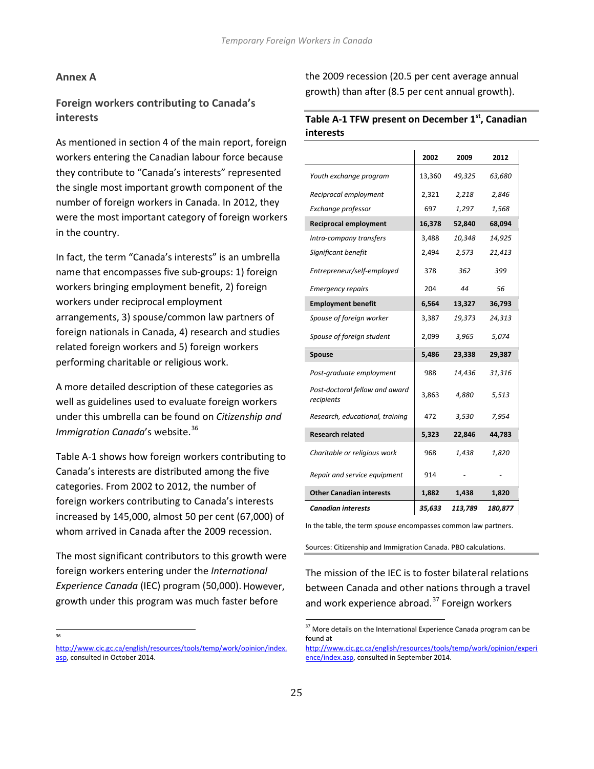#### **Annex A**

## **Foreign workers contributing to Canada's interests**

As mentioned in section 4 of the main report, foreign workers entering the Canadian labour force because they contribute to "Canada's interests" represented the single most important growth component of the number of foreign workers in Canada. In 2012, they were the most important category of foreign workers in the country.

In fact, the term "Canada's interests" is an umbrella name that encompasses five sub-groups: 1) foreign workers bringing employment benefit, 2) foreign workers under reciprocal employment arrangements, 3) spouse/common law partners of foreign nationals in Canada, 4) research and studies related foreign workers and 5) foreign workers performing charitable or religious work.

A more detailed description of these categories as well as guidelines used to evaluate foreign workers under this umbrella can be found on *Citizenship and Immigration Canada's* website.<sup>[36](#page-22-0)</sup>

Table A-1 shows how foreign workers contributing to Canada's interests are distributed among the five categories. From 2002 to 2012, the number of foreign workers contributing to Canada's interests increased by 145,000, almost 50 per cent (67,000) of whom arrived in Canada after the 2009 recession.

The most significant contributors to this growth were foreign workers entering under the *International Experience Canada* (IEC) program (50,000).However, growth under this program was much faster before

<span id="page-26-0"></span>—<br>36

the 2009 recession (20.5 per cent average annual growth) than after (8.5 per cent annual growth).

#### **Table A-1 TFW present on December 1st, Canadian interests**

|                                              | 2002   | 2009    | 2012    |
|----------------------------------------------|--------|---------|---------|
| Youth exchange program                       | 13,360 | 49,325  | 63,680  |
| Reciprocal employment                        | 2,321  | 2,218   | 2,846   |
| Exchange professor                           | 697    | 1,297   | 1,568   |
| <b>Reciprocal employment</b>                 | 16,378 | 52,840  | 68,094  |
| Intra-company transfers                      | 3,488  | 10,348  | 14,925  |
| Significant benefit                          | 2,494  | 2,573   | 21,413  |
| Entrepreneur/self-employed                   | 378    | 362     | 399     |
| <b>Emergency repairs</b>                     | 204    | 44      | 56      |
| <b>Employment benefit</b>                    | 6,564  | 13,327  | 36,793  |
| Spouse of foreign worker                     | 3,387  | 19,373  | 24,313  |
| Spouse of foreign student                    | 2,099  | 3,965   | 5,074   |
| Spouse                                       | 5,486  | 23,338  | 29,387  |
| Post-graduate employment                     | 988    | 14,436  | 31,316  |
| Post-doctoral fellow and award<br>recipients | 3,863  | 4,880   | 5,513   |
| Research, educational, training              | 472    | 3,530   | 7,954   |
| <b>Research related</b>                      | 5,323  | 22,846  | 44,783  |
| Charitable or religious work                 | 968    | 1,438   | 1,820   |
| Repair and service equipment                 | 914    |         |         |
| <b>Other Canadian interests</b>              | 1,882  | 1,438   | 1,820   |
| <b>Canadian interests</b>                    | 35,633 | 113,789 | 180,877 |

In the table, the term *spouse* encompasses common law partners.

Sources: Citizenship and Immigration Canada. PBO calculations.

The mission of the IEC is to foster bilateral relations between Canada and other nations through a travel and work experience abroad. $37$  Foreign workers

<span id="page-26-1"></span>[http://www.cic.gc.ca/english/resources/tools/temp/work/opinion/index.](http://www.cic.gc.ca/english/resources/tools/temp/work/opinion/index.asp) [asp,](http://www.cic.gc.ca/english/resources/tools/temp/work/opinion/index.asp) consulted in October 2014.

 $37$  More details on the International Experience Canada program can be found at

[http://www.cic.gc.ca/english/resources/tools/temp/work/opinion/experi](http://www.cic.gc.ca/english/resources/tools/temp/work/opinion/experience/index.asp) [ence/index.asp,](http://www.cic.gc.ca/english/resources/tools/temp/work/opinion/experience/index.asp) consulted in September 2014.